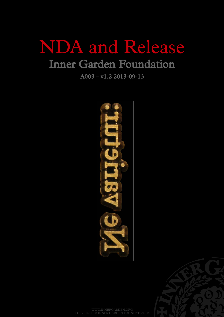## NDA and Release Inner Garden Foundation

A003 – v1.2 2013-09-13



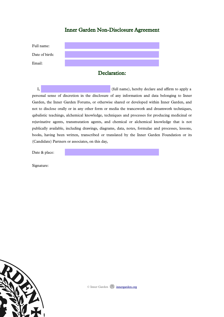### Inner Garden Non-Disclosure Agreement

| Full name:     |  |
|----------------|--|
| Date of birth: |  |
| Email:         |  |

### Declaration:

I, (full name), hereby declare and affirm to apply a personal sense of discretion in the disclosure of any information and data belonging to Inner Garden, the Inner Garden Forums, or otherwise shared or developed within Inner Garden, and not to disclose orally or in any other form or media the trancework and dreamwork techniques, qabalistic teachings, alchemical knowledge, techniques and processes for producing medicinal or rejuvinative agents, transmutation agents, and chemical or alchemical knowledge that is not publically available, including drawings, diagrams, data, notes, formulae and processes, lessons, books, having been written, transcribed or translated by the Inner Garden Foundation or its (Candidate) Partners or associates, on this day,

Date & place:

Signature:

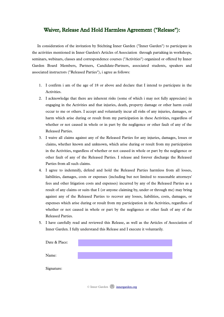#### Waiver, Release And Hold Harmless Agreement ("Release"):

In consideration of the invitation by Stichting Inner Garden ("Inner Garden") to participate in the activities mentioned in Inner Garden's Articles of Association through partaking in workshops, seminars, webinars, classes and correspondence courses ("Activities") organized or offered by Inner Garden Board Members, Partners, Candidate-Partners, associated students, speakers and associated instructors ("Released Parties"), i agree as follows:

- 1. I confirm i am of the age of 18 or above and declare that I intend to participate in the Activities.
- 2. I acknowledge that there are inherent risks (some of which i may not fully appreciate) in engaging in the Activities and that injuries, death, property damage or other harm could occur to me or others. I accept and voluntarily incur all risks of any injuries, damages, or harm which arise during or result from my participation in these Activities, regardless of whether or not caused in whole or in part by the negligence or other fault of any of the Released Parties.
- 3. I waive all claims against any of the Released Parties for any injuries, damages, losses or claims, whether known and unknown, which arise during or result from my participation in the Activities, regardless of whether or not caused in whole or part by the negligence or other fault of any of the Released Parties. I release and forever discharge the Released Parties from all such claims.
- 4. I agree to indemnify, defend and hold the Released Parties harmless from all losses, liabilities, damages, costs or expenses (including but not limited to reasonable attorneys' fees and other litigation costs and expenses) incurred by any of the Released Parties as a result of any claims or suits that I (or anyone claiming by, under or through me) may bring against any of the Released Parties to recover any losses, liabilities, costs, damages, or expenses which arise during or result from my participation in the Activities, regardless of whether or not caused in whole or part by the negligence or other fault of any of the Released Parties.
- 5. I have carefully read and reviewed this Release, as well as the Articles of Association of Inner Garden. I fully understand this Release and I execute it voluntarily.

| Date & Place: |  |  |
|---------------|--|--|
| Name:         |  |  |
| Signature:    |  |  |
|               |  |  |